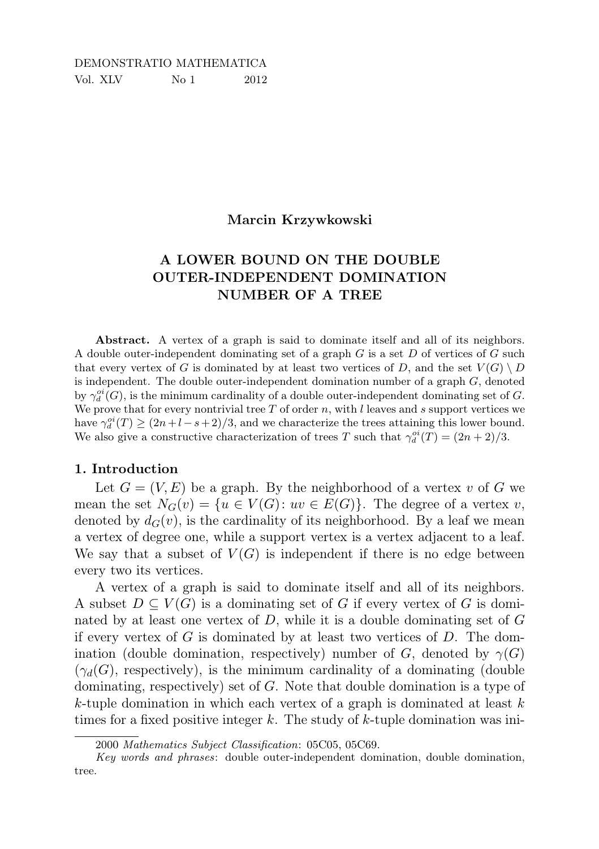## DEMONSTRATIO MATHEMATICA Vol. XLV No 1 2012

#### Marcin Krzywkowski

# A LOWER BOUND ON THE DOUBLE OUTER-INDEPENDENT DOMINATION NUMBER OF A TREE

Abstract. A vertex of a graph is said to dominate itself and all of its neighbors. A double outer-independent dominating set of a graph  $G$  is a set  $D$  of vertices of  $G$  such that every vertex of G is dominated by at least two vertices of D, and the set  $V(G) \setminus D$ is independent. The double outer-independent domination number of a graph  $G$ , denoted by  $\gamma_d^{oi}(G)$ , is the minimum cardinality of a double outer-independent dominating set of G. We prove that for every nontrivial tree  $T$  of order  $n$ , with  $l$  leaves and  $s$  support vertices we have  $\gamma_d^{oi}(T) \ge (2n+l-s+2)/3$ , and we characterize the trees attaining this lower bound. We also give a constructive characterization of trees T such that  $\gamma_d^{oi}(T) = (2n+2)/3$ .

### 1. Introduction

Let  $G = (V, E)$  be a graph. By the neighborhood of a vertex v of G we mean the set  $N_G(v) = \{u \in V(G): uv \in E(G)\}\.$  The degree of a vertex v, denoted by  $d_G(v)$ , is the cardinality of its neighborhood. By a leaf we mean a vertex of degree one, while a support vertex is a vertex adjacent to a leaf. We say that a subset of  $V(G)$  is independent if there is no edge between every two its vertices.

A vertex of a graph is said to dominate itself and all of its neighbors. A subset  $D \subseteq V(G)$  is a dominating set of G if every vertex of G is dominated by at least one vertex of  $D$ , while it is a double dominating set of  $G$ if every vertex of  $G$  is dominated by at least two vertices of  $D$ . The domination (double domination, respectively) number of G, denoted by  $\gamma(G)$  $(\gamma_d(G))$ , respectively), is the minimum cardinality of a dominating (double dominating, respectively) set of G. Note that double domination is a type of  $k$ -tuple domination in which each vertex of a graph is dominated at least  $k$ times for a fixed positive integer k. The study of k-tuple domination was ini-

<sup>2000</sup> *Mathematics Subject Classification*: 05C05, 05C69.

*Key words and phrases*: double outer-independent domination, double domination, tree.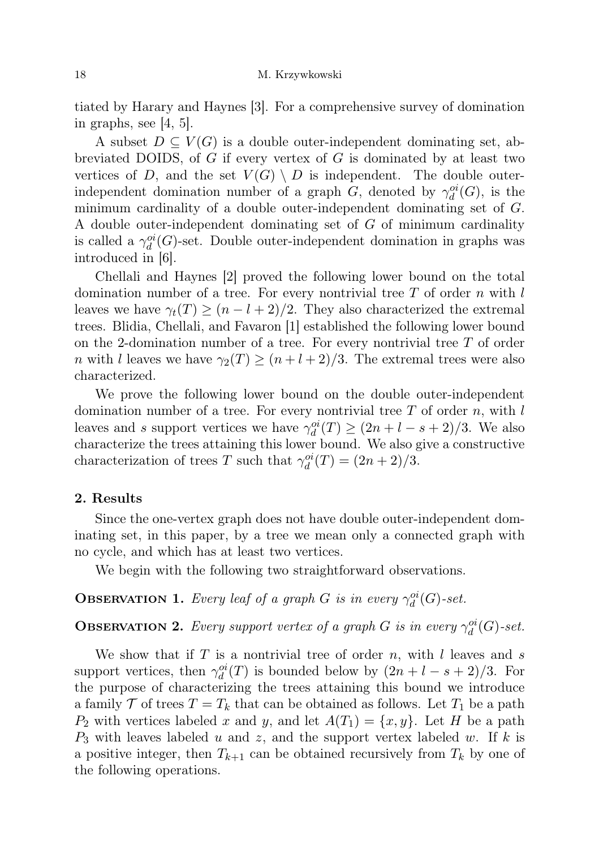tiated by Harary and Haynes [3]. For a comprehensive survey of domination in graphs, see [4, 5].

A subset  $D \subseteq V(G)$  is a double outer-independent dominating set, abbreviated DOIDS, of  $G$  if every vertex of  $G$  is dominated by at least two vertices of D, and the set  $V(G) \setminus D$  is independent. The double outerindependent domination number of a graph G, denoted by  $\gamma_d^{oi}(G)$ , is the minimum cardinality of a double outer-independent dominating set of G. A double outer-independent dominating set of G of minimum cardinality is called a  $\gamma_d^{oi}(G)$ -set. Double outer-independent domination in graphs was introduced in [6].

Chellali and Haynes [2] proved the following lower bound on the total domination number of a tree. For every nontrivial tree  $T$  of order  $n$  with l leaves we have  $\gamma_t(T) \geq (n - l + 2)/2$ . They also characterized the extremal trees. Blidia, Chellali, and Favaron [1] established the following lower bound on the 2-domination number of a tree. For every nontrivial tree  $T$  of order *n* with l leaves we have  $\gamma_2(T) \geq (n+l+2)/3$ . The extremal trees were also characterized.

We prove the following lower bound on the double outer-independent domination number of a tree. For every nontrivial tree  $T$  of order  $n$ , with l leaves and s support vertices we have  $\gamma_d^{oi}(T) \ge (2n + l - s + 2)/3$ . We also characterize the trees attaining this lower bound. We also give a constructive characterization of trees T such that  $\gamma_d^{oi}(T) = (2n+2)/3$ .

#### 2. Results

Since the one-vertex graph does not have double outer-independent dominating set, in this paper, by a tree we mean only a connected graph with no cycle, and which has at least two vertices.

We begin with the following two straightforward observations.

**OBSERVATION 1.** Every leaf of a graph G is in every  $\gamma_d^{oi}(G)$ -set.

**OBSERVATION 2.** Every support vertex of a graph G is in every  $\gamma_d^{oi}(G)$ -set.

We show that if  $T$  is a nontrivial tree of order  $n$ , with  $l$  leaves and  $s$ support vertices, then  $\gamma_d^{oi}(T)$  is bounded below by  $(2n + l - s + 2)/3$ . For the purpose of characterizing the trees attaining this bound we introduce a family  $\mathcal T$  of trees  $T = T_k$  that can be obtained as follows. Let  $T_1$  be a path  $P_2$  with vertices labeled x and y, and let  $A(T_1) = \{x, y\}$ . Let H be a path  $P_3$  with leaves labeled u and z, and the support vertex labeled w. If k is a positive integer, then  $T_{k+1}$  can be obtained recursively from  $T_k$  by one of the following operations.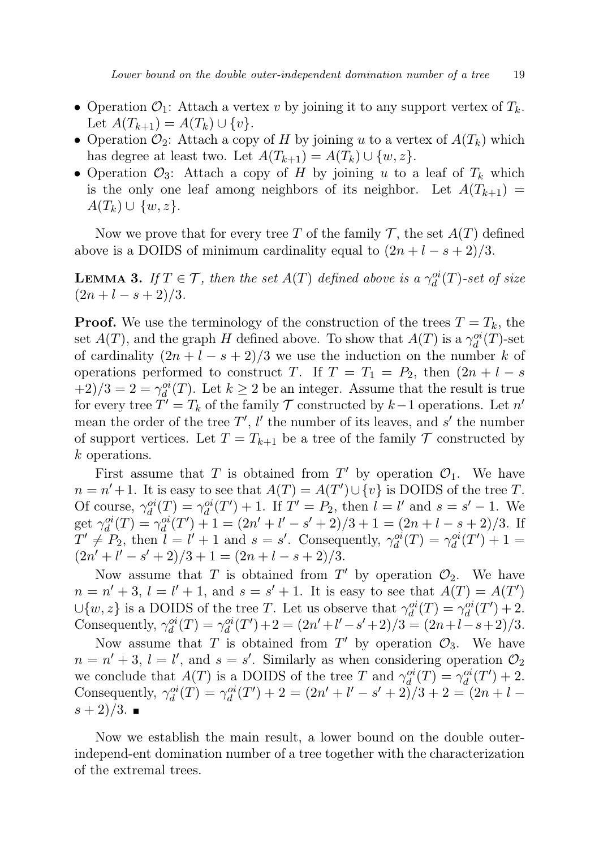- Operation  $\mathcal{O}_1$ : Attach a vertex v by joining it to any support vertex of  $T_k$ . Let  $A(T_{k+1}) = A(T_k) \cup \{v\}.$
- Operation  $\mathcal{O}_2$ : Attach a copy of H by joining u to a vertex of  $A(T_k)$  which has degree at least two. Let  $A(T_{k+1}) = A(T_k) \cup \{w, z\}.$
- Operation  $\mathcal{O}_3$ : Attach a copy of H by joining u to a leaf of  $T_k$  which is the only one leaf among neighbors of its neighbor. Let  $A(T_{k+1}) =$  $A(T_k) \cup \{w, z\}.$

Now we prove that for every tree T of the family T, the set  $A(T)$  defined above is a DOIDS of minimum cardinality equal to  $(2n + l - s + 2)/3$ .

**LEMMA 3.** If  $T \in \mathcal{T}$ , then the set  $A(T)$  defined above is a  $\gamma_d^{oi}(T)$ -set of size  $(2n+l-s+2)/3.$ 

**Proof.** We use the terminology of the construction of the trees  $T = T_k$ , the set  $A(T)$ , and the graph H defined above. To show that  $A(T)$  is a  $\gamma_d^{oi}(T)$ -set of cardinality  $(2n + l - s + 2)/3$  we use the induction on the number k of operations performed to construct T. If  $T = T_1 = P_2$ , then  $(2n + l - s)$  $(1+2)/3 = 2 = \gamma_d^{oi}(T)$ . Let  $k \geq 2$  be an integer. Assume that the result is true for every tree  $T' = T_k$  of the family  $\mathcal T$  constructed by  $k-1$  operations. Let n' mean the order of the tree  $T'$ ,  $l'$  the number of its leaves, and  $s'$  the number of support vertices. Let  $T = T_{k+1}$  be a tree of the family  $T$  constructed by k operations.

First assume that T is obtained from  $T'$  by operation  $\mathcal{O}_1$ . We have  $n = n' + 1$ . It is easy to see that  $A(T) = A(T') \cup \{v\}$  is DOIDS of the tree T. Of course,  $\gamma_d^{oi}(T) = \gamma_d^{oi}(T') + 1$ . If  $T' = P_2$ , then  $l = l'$  and  $s = s' - 1$ . We get  $\gamma_d^{oi}(T) = \gamma_d^{oi}(T') + 1 = (2n' + l' - s' + 2)/3 + 1 = (2n + l - s + 2)/3$ . If  $T' \neq P_2$ , then  $l = l' + 1$  and  $s = s'$ . Consequently,  $\gamma_d^{oi}(T) = \gamma_d^{oi}(T') + 1 =$  $\left(\frac{2n'+l'-s'+2}{3+1}=\frac{(2n+l-s+2)}{3}.$ 

Now assume that T is obtained from  $T'$  by operation  $\mathcal{O}_2$ . We have  $n = n' + 3$ ,  $l = l' + 1$ , and  $s = s' + 1$ . It is easy to see that  $\ddot{A}(T) = A(T')$  $\cup \{w, z\}$  is a DOIDS of the tree T. Let us observe that  $\gamma_d^{oi}(T) = \gamma_d^{oi}(T') + 2$ . Consequently,  $\gamma_d^{oi}(T) = \gamma_d^{oi}(T') + 2 = (2n' + l' - s' + 2)/3 = (2n + l - s + 2)/3.$ 

Now assume that T is obtained from T' by operation  $\mathcal{O}_3$ . We have  $n = n' + 3$ ,  $l = l'$ , and  $s = s'$ . Similarly as when considering operation  $\mathcal{O}_2$ we conclude that  $A(T)$  is a DOIDS of the tree T and  $\gamma_d^{oi}(T) = \gamma_d^{oi}(T') + 2$ . Consequently,  $\gamma_d^{oi}(T) = \gamma_d^{oi}(T') + 2 = (2n' + l' - s' + 2)/3 + 2 = (2n + l - 1)/3$  $(s + 2)/3$ .

Now we establish the main result, a lower bound on the double outerindepend-ent domination number of a tree together with the characterization of the extremal trees.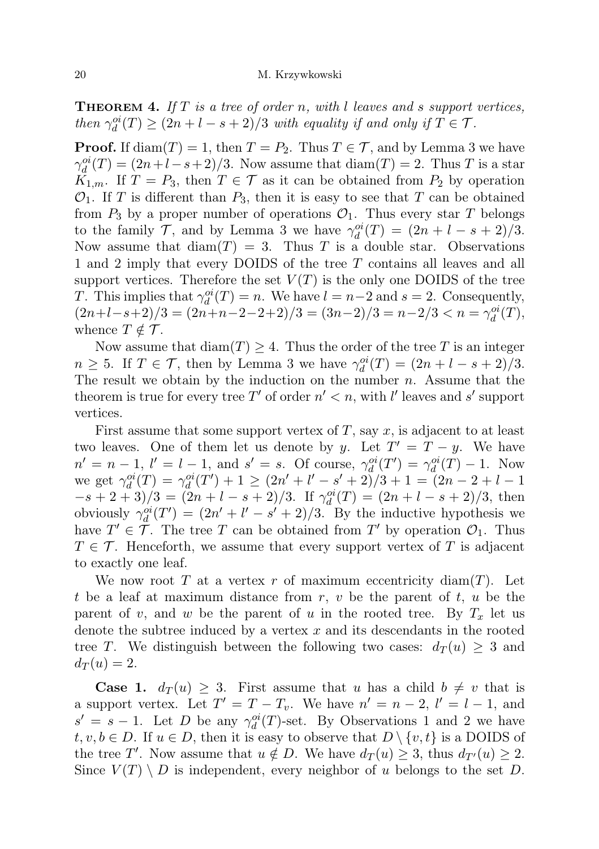**THEOREM 4.** If  $T$  is a tree of order n, with l leaves and s support vertices, then  $\gamma_d^{oi}(T) \ge (2n + l - s + 2)/3$  with equality if and only if  $T \in \mathcal{T}$ .

**Proof.** If diam(T) = 1, then  $T = P_2$ . Thus  $T \in \mathcal{T}$ , and by Lemma 3 we have  $\gamma_d^{oi}(T) = (2n + l - s + 2)/3$ . Now assume that  $\text{diam}(T) = 2$ . Thus T is a star  $K_{1,m}$ . If  $T = P_3$ , then  $T \in \mathcal{T}$  as it can be obtained from  $P_2$  by operation  $\mathcal{O}_1$ . If T is different than  $P_3$ , then it is easy to see that T can be obtained from  $P_3$  by a proper number of operations  $\mathcal{O}_1$ . Thus every star T belongs to the family  $\mathcal{T}$ , and by Lemma 3 we have  $\gamma_d^{oi}(T) = (2n + l - s + 2)/3$ . Now assume that  $\text{diam}(T) = 3$ . Thus T is a double star. Observations 1 and 2 imply that every DOIDS of the tree T contains all leaves and all support vertices. Therefore the set  $V(T)$  is the only one DOIDS of the tree T. This implies that  $\gamma_d^{oi}(T) = n$ . We have  $l = n-2$  and  $s = 2$ . Consequently,  $(2n+l-s+2)/3 = (2n+n-2-2+2)/3 = (3n-2)/3 = n-2/3 < n = \gamma_d^{oi}(T),$ whence  $T \notin \mathcal{T}$ .

Now assume that  $\text{diam}(T) \geq 4$ . Thus the order of the tree T is an integer  $n \geq 5$ . If  $T \in \mathcal{T}$ , then by Lemma 3 we have  $\gamma_d^{oi}(T) = (2n + l - s + 2)/3$ . The result we obtain by the induction on the number  $n$ . Assume that the theorem is true for every tree T' of order  $n' < n$ , with l' leaves and s' support vertices.

First assume that some support vertex of  $T$ , say  $x$ , is adjacent to at least two leaves. One of them let us denote by y. Let  $T' = T - y$ . We have  $n' = n - 1$ ,  $l' = l - 1$ , and  $s' = s$ . Of course,  $\gamma_d^{oi}(T') = \gamma_d^{oi}(T) - 1$ . Now we get  $\gamma_d^{oi}(T) = \gamma_d^{oi}(T') + 1 \ge (2n' + l' - s' + 2)/3 + 1 = (2n - 2 + l - 1)$  $-s+2+3/3 = (2n+l-s+2)/3$ . If  $\gamma_d^{oi}(T) = (2n+l-s+2)/3$ , then obviously  $\gamma_d^{oi}(T') = (2n' + l' - s' + 2)/3$ . By the inductive hypothesis we have  $T' \in \mathcal{T}$ . The tree T can be obtained from T' by operation  $\mathcal{O}_1$ . Thus  $T \in \mathcal{T}$ . Henceforth, we assume that every support vertex of T is adjacent to exactly one leaf.

We now root T at a vertex r of maximum eccentricity diam $(T)$ . Let t be a leaf at maximum distance from  $r, v$  be the parent of  $t, u$  be the parent of v, and w be the parent of u in the rooted tree. By  $T_x$  let us denote the subtree induced by a vertex  $x$  and its descendants in the rooted tree T. We distinguish between the following two cases:  $d_T(u) \geq 3$  and  $d_T(u) = 2.$ 

**Case 1.**  $d_T(u) \geq 3$ . First assume that u has a child  $b \neq v$  that is a support vertex. Let  $T' = T - T_v$ . We have  $n' = n - 2$ ,  $l' = l - 1$ , and  $s' = s - 1$ . Let D be any  $\gamma_d^{oi}(T)$ -set. By Observations 1 and 2 we have  $t, v, b \in D$ . If  $u \in D$ , then it is easy to observe that  $D \setminus \{v, t\}$  is a DOIDS of the tree T'. Now assume that  $u \notin D$ . We have  $d_T(u) \geq 3$ , thus  $d_{T'}(u) \geq 2$ . Since  $V(T) \setminus D$  is independent, every neighbor of u belongs to the set D.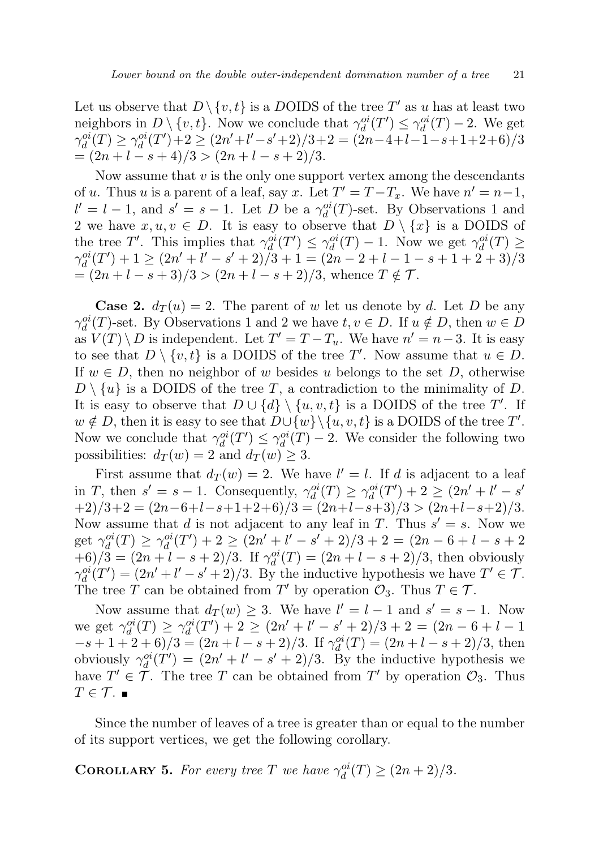Let us observe that  $D \setminus \{v, t\}$  is a DOIDS of the tree T' as u has at least two neighbors in  $D \setminus \{v, t\}$ . Now we conclude that  $\gamma_d^{oi}(T') \leq \gamma_d^{oi}(T) - 2$ . We get  $\gamma_d^{oi}(T) \geq \gamma_d^{oi}(T') + 2 \geq (2n' + l' - s' + 2)/3 + 2 = (2n - 4 + l - 1 - s + 1 + 2 + 6)/3$  $=(2n+l-s+4)/3$  >  $(2n+l-s+2)/3$ .

Now assume that  $v$  is the only one support vertex among the descendants of u. Thus u is a parent of a leaf, say x. Let  $T' = T - T_x$ . We have  $n' = n - 1$ ,  $l' = l - 1$ , and  $s' = s - 1$ . Let D be a  $\gamma_d^{oi}(T)$ -set. By Observations 1 and 2 we have  $x, u, v \in D$ . It is easy to observe that  $D \setminus \{x\}$  is a DOIDS of the tree T'. This implies that  $\gamma_d^{oi}(T') \leq \gamma_d^{oi}(T) - 1$ . Now we get  $\gamma_d^{oi}(T) \geq$  $\gamma_d^{oi}(T')+1 \geq (2n'+l'-s'+2)/3+1 = (2n-2+l-1-s+1+2+3)/3$  $=(2n+l-s+3)/3$  >  $(2n+l-s+2)/3$ , whence  $T \notin \mathcal{T}$ .

**Case 2.**  $d_T(u) = 2$ . The parent of w let us denote by d. Let D be any  $\gamma_d^{oi}(T)$ -set. By Observations 1 and 2 we have  $t, v \in D$ . If  $u \notin D$ , then  $w \in D$ as  $V(T) \setminus D$  is independent. Let  $T' = T - T_u$ . We have  $n' = n - 3$ . It is easy to see that  $D \setminus \{v, t\}$  is a DOIDS of the tree T'. Now assume that  $u \in D$ . If  $w \in D$ , then no neighbor of w besides u belongs to the set D, otherwise  $D \setminus \{u\}$  is a DOIDS of the tree T, a contradiction to the minimality of D. It is easy to observe that  $D \cup \{d\} \setminus \{u, v, t\}$  is a DOIDS of the tree T'. If  $w \notin D$ , then it is easy to see that  $D \cup \{w\} \setminus \{u, v, t\}$  is a DOIDS of the tree T'. Now we conclude that  $\gamma_d^{oi}(T') \leq \gamma_d^{oi}(T) - 2$ . We consider the following two possibilities:  $d_T(w) = 2$  and  $d_T(w) \geq 3$ .

First assume that  $d_T(w) = 2$ . We have  $l' = l$ . If d is adjacent to a leaf in T, then  $s' = s - 1$ . Consequently,  $\gamma_d^{oi}(T) \geq \gamma_d^{oi}(T') + 2 \geq (2n' + l' - s')$  $+2)/3+2 = (2n-6+l-s+1+2+6)/3 = (2n+l-s+3)/3 > (2n+l-s+2)/3.$ Now assume that d is not adjacent to any leaf in T. Thus  $s' = s$ . Now we get  $\gamma_d^{oi}(T) \ge \gamma_d^{oi}(T') + 2 \ge (2n' + l' - s' + 2)/3 + 2 = (2n - 6 + l - s + 2)$  $+(6)/3 = (2n + l - s + 2)/3$ . If  $\gamma_d^{oi}(T) = (2n + l - s + 2)/3$ , then obviously  $\gamma_d^{oi}(T') = (2n' + l' - s' + 2)/3$ . By the inductive hypothesis we have  $T' \in \mathcal{T}$ . The tree T can be obtained from T' by operation  $\mathcal{O}_3$ . Thus  $T \in \mathcal{T}$ .

Now assume that  $d_T(w) \geq 3$ . We have  $l' = l - 1$  and  $s' = s - 1$ . Now we get  $\gamma_d^{oi}(T) \ge \gamma_d^{oi}(T') + 2 \ge (2n' + l' - s' + 2)/3 + 2 = (2n - 6 + l - 1)$  $-s+1+2+6/3 = (2n+l-s+2)/3$ . If  $\gamma_d^{oi}(T) = (2n+l-s+2)/3$ , then obviously  $\gamma_d^{oi}(T') = (2n' + l' - s' + 2)/3$ . By the inductive hypothesis we have  $T' \in \mathcal{T}$ . The tree T can be obtained from T' by operation  $\mathcal{O}_3$ . Thus  $T \in \mathcal{T}$ .

Since the number of leaves of a tree is greater than or equal to the number of its support vertices, we get the following corollary.

**COROLLARY 5.** For every tree T we have  $\gamma_d^{oi}(T) \geq (2n+2)/3$ .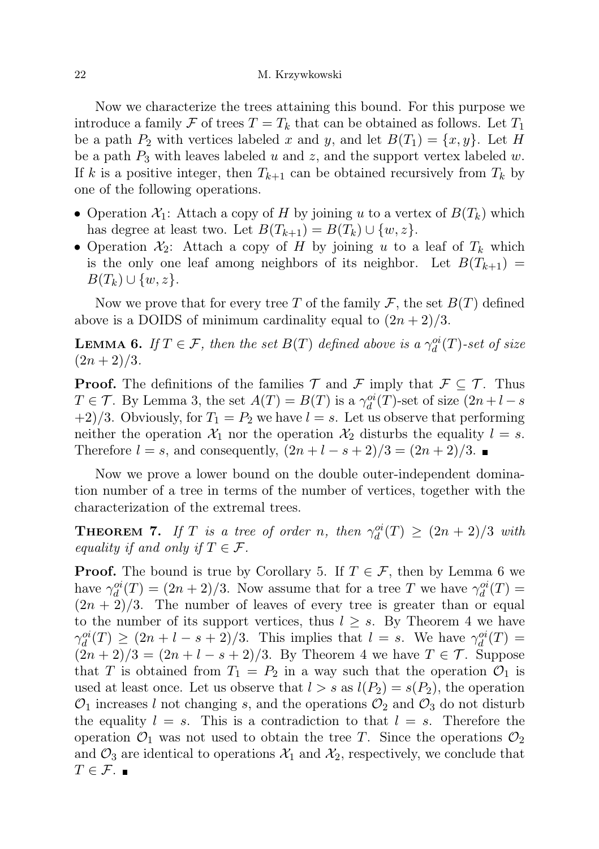Now we characterize the trees attaining this bound. For this purpose we introduce a family  $\mathcal F$  of trees  $T = T_k$  that can be obtained as follows. Let  $T_1$ be a path  $P_2$  with vertices labeled x and y, and let  $B(T_1) = \{x, y\}$ . Let H be a path  $P_3$  with leaves labeled u and z, and the support vertex labeled w. If k is a positive integer, then  $T_{k+1}$  can be obtained recursively from  $T_k$  by one of the following operations.

- Operation  $\mathcal{X}_1$ : Attach a copy of H by joining u to a vertex of  $B(T_k)$  which has degree at least two. Let  $B(T_{k+1}) = B(T_k) \cup \{w, z\}.$
- Operation  $\mathcal{X}_2$ : Attach a copy of H by joining u to a leaf of  $T_k$  which is the only one leaf among neighbors of its neighbor. Let  $B(T_{k+1}) =$  $B(T_k) \cup \{w, z\}.$

Now we prove that for every tree T of the family F, the set  $B(T)$  defined above is a DOIDS of minimum cardinality equal to  $(2n+2)/3$ .

**LEMMA 6.** If  $T \in \mathcal{F}$ , then the set  $B(T)$  defined above is a  $\gamma_d^{oi}(T)$ -set of size  $(2n+2)/3$ .

**Proof.** The definitions of the families  $\mathcal{T}$  and  $\mathcal{F}$  imply that  $\mathcal{F} \subseteq \mathcal{T}$ . Thus  $T \in \mathcal{T}$ . By Lemma 3, the set  $A(T) = B(T)$  is a  $\gamma_d^{oi}(T)$ -set of size  $(2n + l - s)$  $+2/3$ . Obviously, for  $T_1 = P_2$  we have  $l = s$ . Let us observe that performing neither the operation  $\mathcal{X}_1$  nor the operation  $\mathcal{X}_2$  disturbs the equality  $l = s$ . Therefore  $l = s$ , and consequently,  $(2n + l - s + 2)/3 = (2n + 2)/3$ .

Now we prove a lower bound on the double outer-independent domination number of a tree in terms of the number of vertices, together with the characterization of the extremal trees.

**THEOREM 7.** If T is a tree of order n, then  $\gamma_d^{oi}(T) \geq (2n+2)/3$  with equality if and only if  $T \in \mathcal{F}$ .

**Proof.** The bound is true by Corollary 5. If  $T \in \mathcal{F}$ , then by Lemma 6 we have  $\gamma_d^{oi}(T) = (2n+2)/3$ . Now assume that for a tree T we have  $\gamma_d^{oi}(T) =$  $(2n + 2)/3$ . The number of leaves of every tree is greater than or equal to the number of its support vertices, thus  $l \geq s$ . By Theorem 4 we have  $\gamma_d^{oi}(T) \ge (2n + l - s + 2)/3$ . This implies that  $l = s$ . We have  $\gamma_d^{oi}(T) =$  $(2n+2)/3 = (2n+l-s+2)/3$ . By Theorem 4 we have  $T \in \mathcal{T}$ . Suppose that T is obtained from  $T_1 = P_2$  in a way such that the operation  $\mathcal{O}_1$  is used at least once. Let us observe that  $l > s$  as  $l(P_2) = s(P_2)$ , the operation  $\mathcal{O}_1$  increases l not changing s, and the operations  $\mathcal{O}_2$  and  $\mathcal{O}_3$  do not disturb the equality  $l = s$ . This is a contradiction to that  $l = s$ . Therefore the operation  $\mathcal{O}_1$  was not used to obtain the tree T. Since the operations  $\mathcal{O}_2$ and  $\mathcal{O}_3$  are identical to operations  $\mathcal{X}_1$  and  $\mathcal{X}_2$ , respectively, we conclude that  $T \in \mathcal{F}$ .